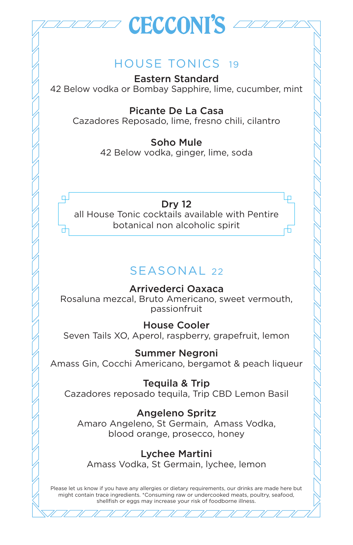

#### HOUSE TONICS 19

Eastern Standard 42 Below vodka or Bombay Sapphire, lime, cucumber, mint

Picante De La Casa

Cazadores Reposado, lime, fresno chili, cilantro

Soho Mule

42 Below vodka, ginger, lime, soda

Dry 12 all House Tonic cocktails available with Pentire botanical non alcoholic spirit

 $\Box$ 

لب

# SEASONAL 22

Arrivederci Oaxaca Rosaluna mezcal, Bruto Americano, sweet vermouth, passionfruit

House Cooler Seven Tails XO, Aperol, raspberry, grapefruit, lemon

Summer Negroni Amass Gin, Cocchi Americano, bergamot & peach liqueur

Tequila & Trip Cazadores reposado tequila, Trip CBD Lemon Basil

#### Angeleno Spritz

Amaro Angeleno, St Germain, Amass Vodka, blood orange, prosecco, honey

Lychee Martini Amass Vodka, St Germain, lychee, lemon

Please let us know if you have any allergies or dietary requirements, our drinks are made here but might contain trace ingredients. \*Consuming raw or undercooked meats, poultry, seafood, shellfish or eggs may increase your risk of foodborne illness.